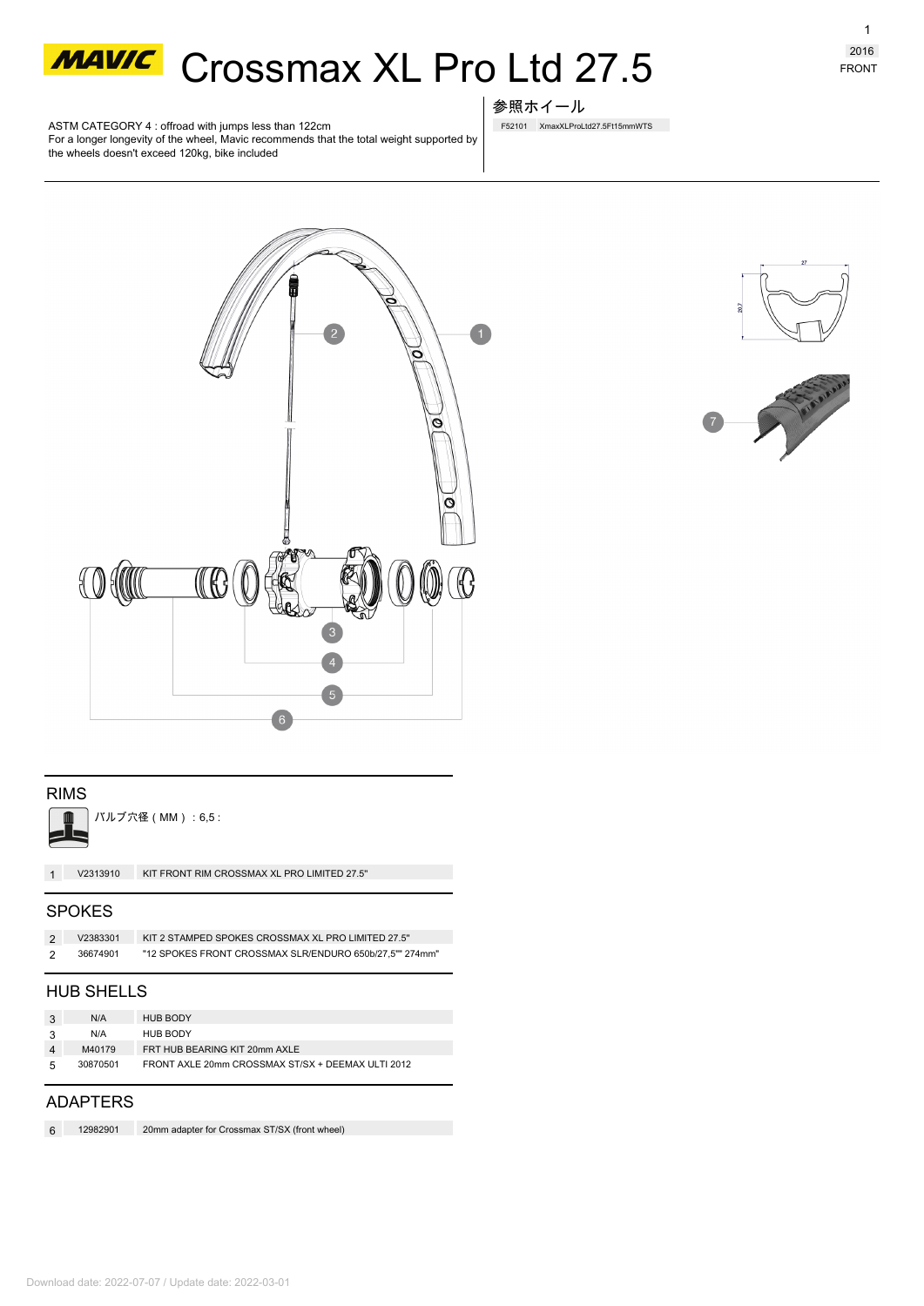

**MAWC** Crossmax XL Pro Ltd 27.5

ASTM CATEGORY 4 : offroad with jumps less than 122cm For a longer longevity of the wheel, Mavic recommends that the total weight supported by the wheels doesn't exceed 120kg, bike included

## 参照ホイール

F52101 XmaxXLProLtd27.5Ft15mmWTS





### RIMS



バルブ穴径(MM):6,5 :

**1 V2313910** KIT FRONT RIM CROSSMAX XL PRO LIMITED 27.5''

### SPOKES

|                | V2383301 | KIT 2 STAMPED SPOKES CROSSMAX XL PRO LIMITED 27.5"      |
|----------------|----------|---------------------------------------------------------|
| $\overline{2}$ | 36674901 | "12 SPOKES FRONT CROSSMAX SLR/ENDURO 650b/27.5"" 274mm" |

### HUB SHELLS

|    | N/A      | <b>HUB BODY</b>                                   |
|----|----------|---------------------------------------------------|
|    | N/A      | <b>HUB BODY</b>                                   |
|    | M40179   | FRT HUB BEARING KIT 20mm AXLE                     |
| -5 | 30870501 | FRONT AXLE 20mm CROSSMAX ST/SX + DEEMAX ULTI 2012 |

### ADAPTERS

| 12982901 | 20mm adapter for Crossmax ST/SX (front wheel) |
|----------|-----------------------------------------------|
|          |                                               |